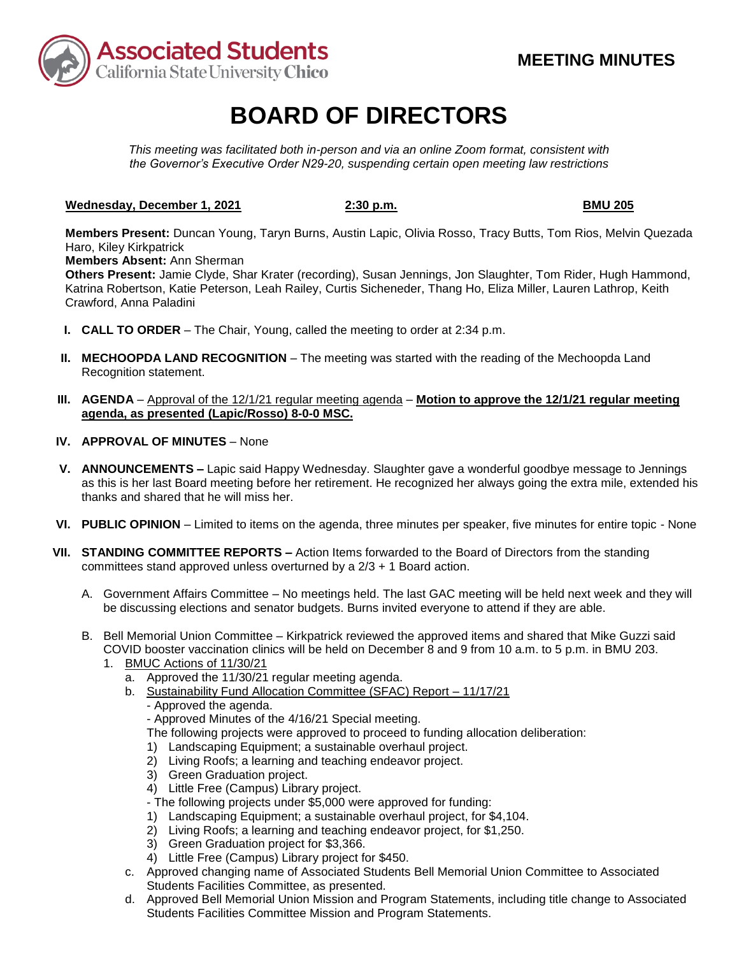

# **BOARD OF DIRECTORS**

*This meeting was facilitated both in-person and via an online Zoom format, consistent with the Governor's Executive Order N29-20, suspending certain open meeting law restrictions* 

## **Wednesday, December 1, 2021** 2:30 p.m. **BMU 205 BMU 205**

**Members Present:** Duncan Young, Taryn Burns, Austin Lapic, Olivia Rosso, Tracy Butts, Tom Rios, Melvin Quezada Haro, Kiley Kirkpatrick

**Members Absent:** Ann Sherman

**Others Present:** Jamie Clyde, Shar Krater (recording), Susan Jennings, Jon Slaughter, Tom Rider, Hugh Hammond, Katrina Robertson, Katie Peterson, Leah Railey, Curtis Sicheneder, Thang Ho, Eliza Miller, Lauren Lathrop, Keith Crawford, Anna Paladini

- **I. CALL TO ORDER**  The Chair, Young, called the meeting to order at 2:34 p.m.
- **II. MECHOOPDA LAND RECOGNITION** The meeting was started with the reading of the Mechoopda Land Recognition statement.
- **III. AGENDA**  Approval of the 12/1/21 regular meeting agenda **Motion to approve the 12/1/21 regular meeting agenda, as presented (Lapic/Rosso) 8-0-0 MSC.**
- **IV. APPROVAL OF MINUTES**  None
- **V. ANNOUNCEMENTS –** Lapic said Happy Wednesday. Slaughter gave a wonderful goodbye message to Jennings as this is her last Board meeting before her retirement. He recognized her always going the extra mile, extended his thanks and shared that he will miss her.
- **VI. PUBLIC OPINION**  Limited to items on the agenda, three minutes per speaker, five minutes for entire topic None
- **VII. STANDING COMMITTEE REPORTS –** Action Items forwarded to the Board of Directors from the standing committees stand approved unless overturned by a 2/3 + 1 Board action.
	- A. Government Affairs Committee No meetings held. The last GAC meeting will be held next week and they will be discussing elections and senator budgets. Burns invited everyone to attend if they are able.
	- B. Bell Memorial Union Committee Kirkpatrick reviewed the approved items and shared that Mike Guzzi said COVID booster vaccination clinics will be held on December 8 and 9 from 10 a.m. to 5 p.m. in BMU 203.
		- 1. BMUC Actions of 11/30/21
			- a. Approved the 11/30/21 regular meeting agenda.
			- b. Sustainability Fund Allocation Committee (SFAC) Report 11/17/21

- Approved the agenda.

- Approved Minutes of the 4/16/21 Special meeting.

- The following projects were approved to proceed to funding allocation deliberation:
- 1) Landscaping Equipment; a sustainable overhaul project.
- 2) Living Roofs; a learning and teaching endeavor project.
- 3) Green Graduation project.
- 4) Little Free (Campus) Library project.
- The following projects under \$5,000 were approved for funding:
- 1) Landscaping Equipment; a sustainable overhaul project, for \$4,104.
- 2) Living Roofs; a learning and teaching endeavor project, for \$1,250.
- 3) Green Graduation project for \$3,366.
- 4) Little Free (Campus) Library project for \$450.
- c. Approved changing name of Associated Students Bell Memorial Union Committee to Associated Students Facilities Committee, as presented.
- d. Approved Bell Memorial Union Mission and Program Statements, including title change to Associated Students Facilities Committee Mission and Program Statements.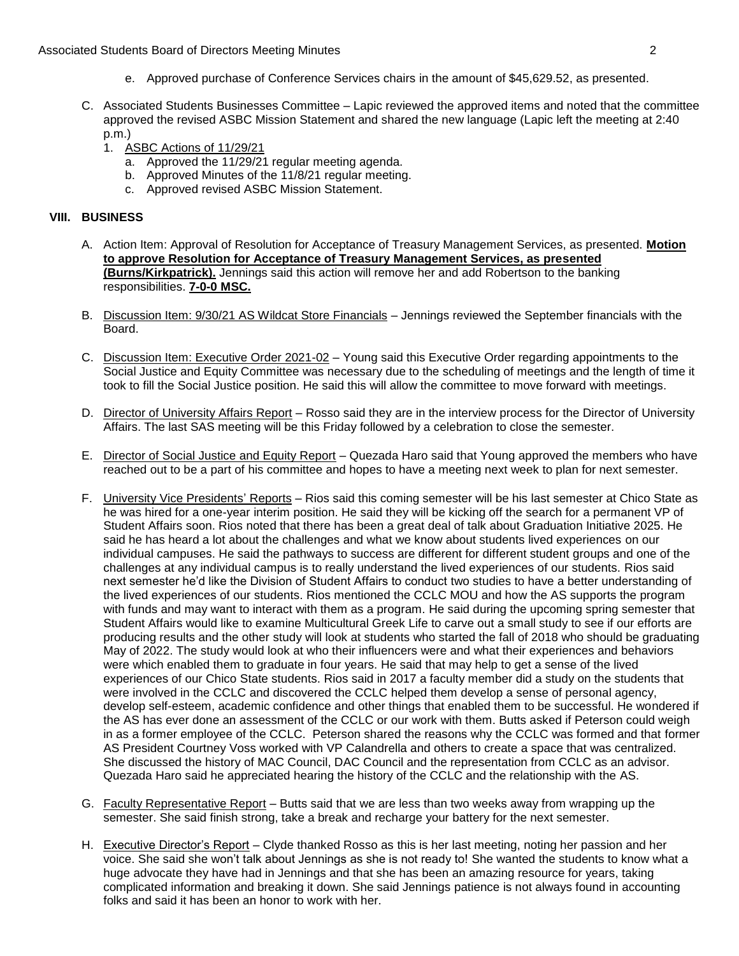- e. Approved purchase of Conference Services chairs in the amount of [\\$45,629.52,](https://45,629.52) as presented.
- approved the revised ASBC Mission Statement and shared the new language (Lapic left the meeting at 2:40 C. Associated Students Businesses Committee – Lapic reviewed the approved items and noted that the committee p.m.)
	- 1. ASBC Actions of 11/29/21
		- a. Approved the  $11/29/21$  regular meeting agenda.
		- b. Approved Minutes of the 11/8/21 regular meeting.
		- c. Approved revised ASBC Mission Statement.

## **VIII. BUSINESS**

- A. Action Item: Approval of Resolution for Acceptance of Treasury Management Services, as presented. **Motion to approve Resolution for Acceptance of Treasury Management Services, as presented (Burns/Kirkpatrick).** Jennings said this action will remove her and add Robertson to the banking responsibilities. **7-0-0 MSC.**
- Board. B. Discussion Item: 9/30/21 AS Wildcat Store Financials – Jennings reviewed the September financials with the
- Social Justice and Equity Committee was necessary due to the scheduling of meetings and the length of time it took to fill the Social Justice position. He said this will allow the committee to move forward with meetings. C. Discussion Item: Executive Order 2021-02 - Young said this Executive Order regarding appointments to the
- D. Director of University Affairs Report Rosso said they are in the interview process for the Director of University Affairs. The last SAS meeting will be this Friday followed by a celebration to close the semester.
- reached out to be a part of his committee and hopes to have a meeting next week to plan for next semester. E. Director of Social Justice and Equity Report – Quezada Haro said that Young approved the members who have
- F. University Vice Presidents' Reports Rios said this coming semester will be his last semester at Chico State as he was hired for a one-year interim position. He said they will be kicking off the search for a permanent VP of said he has heard a lot about the challenges and what we know about students lived experiences on our next semester he'd like the Division of Student Affairs to conduct two studies to have a better understanding of with funds and may want to interact with them as a program. He said during the upcoming spring semester that the AS has ever done an assessment of the CCLC or our work with them. Butts asked if Peterson could weigh in as a former employee of the CCLC. Peterson shared the reasons why the CCLC was formed and that former AS President Courtney Voss worked with VP Calandrella and others to create a space that was centralized. Student Affairs soon. Rios noted that there has been a great deal of talk about Graduation Initiative 2025. He individual campuses. He said the pathways to success are different for different student groups and one of the challenges at any individual campus is to really understand the lived experiences of our students. Rios said the lived experiences of our students. Rios mentioned the CCLC MOU and how the AS supports the program Student Affairs would like to examine Multicultural Greek Life to carve out a small study to see if our efforts are producing results and the other study will look at students who started the fall of 2018 who should be graduating May of 2022. The study would look at who their influencers were and what their experiences and behaviors were which enabled them to graduate in four years. He said that may help to get a sense of the lived experiences of our Chico State students. Rios said in 2017 a faculty member did a study on the students that were involved in the CCLC and discovered the CCLC helped them develop a sense of personal agency, develop self-esteem, academic confidence and other things that enabled them to be successful. He wondered if She discussed the history of MAC Council, DAC Council and the representation from CCLC as an advisor. Quezada Haro said he appreciated hearing the history of the CCLC and the relationship with the AS.
- G. Faculty Representative Report Butts said that we are less than two weeks away from wrapping up the semester. She said finish strong, take a break and recharge your battery for the next semester.
- voice. She said she won't talk about Jennings as she is not ready to! She wanted the students to know what a H. Executive Director's Report – Clyde thanked Rosso as this is her last meeting, noting her passion and her huge advocate they have had in Jennings and that she has been an amazing resource for years, taking complicated information and breaking it down. She said Jennings patience is not always found in accounting folks and said it has been an honor to work with her.